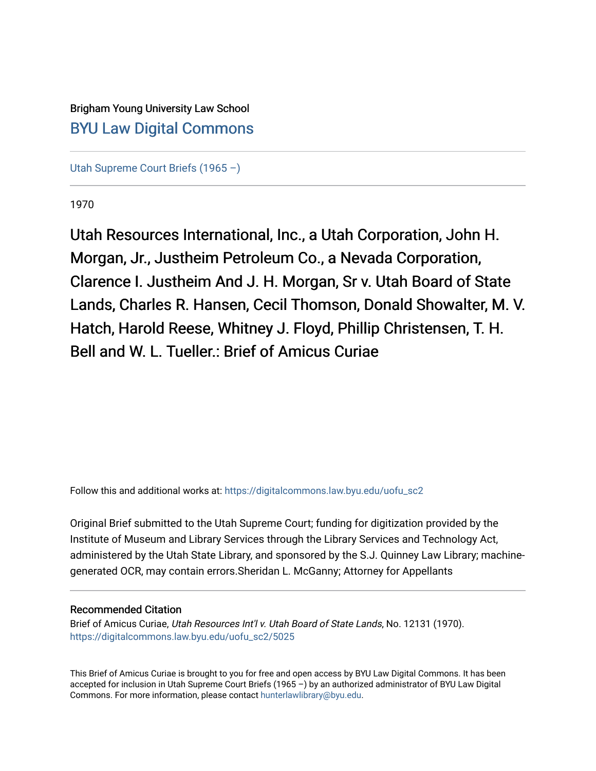# Brigham Young University Law School [BYU Law Digital Commons](https://digitalcommons.law.byu.edu/)

[Utah Supreme Court Briefs \(1965 –\)](https://digitalcommons.law.byu.edu/uofu_sc2)

1970

Utah Resources International, Inc., a Utah Corporation, John H. Morgan, Jr., Justheim Petroleum Co., a Nevada Corporation, Clarence I. Justheim And J. H. Morgan, Sr v. Utah Board of State Lands, Charles R. Hansen, Cecil Thomson, Donald Showalter, M. V. Hatch, Harold Reese, Whitney J. Floyd, Phillip Christensen, T. H. Bell and W. L. Tueller.: Brief of Amicus Curiae

Follow this and additional works at: [https://digitalcommons.law.byu.edu/uofu\\_sc2](https://digitalcommons.law.byu.edu/uofu_sc2?utm_source=digitalcommons.law.byu.edu%2Fuofu_sc2%2F5025&utm_medium=PDF&utm_campaign=PDFCoverPages)

Original Brief submitted to the Utah Supreme Court; funding for digitization provided by the Institute of Museum and Library Services through the Library Services and Technology Act, administered by the Utah State Library, and sponsored by the S.J. Quinney Law Library; machinegenerated OCR, may contain errors.Sheridan L. McGanny; Attorney for Appellants

#### Recommended Citation

Brief of Amicus Curiae, Utah Resources Int'l v. Utah Board of State Lands, No. 12131 (1970). [https://digitalcommons.law.byu.edu/uofu\\_sc2/5025](https://digitalcommons.law.byu.edu/uofu_sc2/5025?utm_source=digitalcommons.law.byu.edu%2Fuofu_sc2%2F5025&utm_medium=PDF&utm_campaign=PDFCoverPages) 

This Brief of Amicus Curiae is brought to you for free and open access by BYU Law Digital Commons. It has been accepted for inclusion in Utah Supreme Court Briefs (1965 –) by an authorized administrator of BYU Law Digital Commons. For more information, please contact [hunterlawlibrary@byu.edu](mailto:hunterlawlibrary@byu.edu).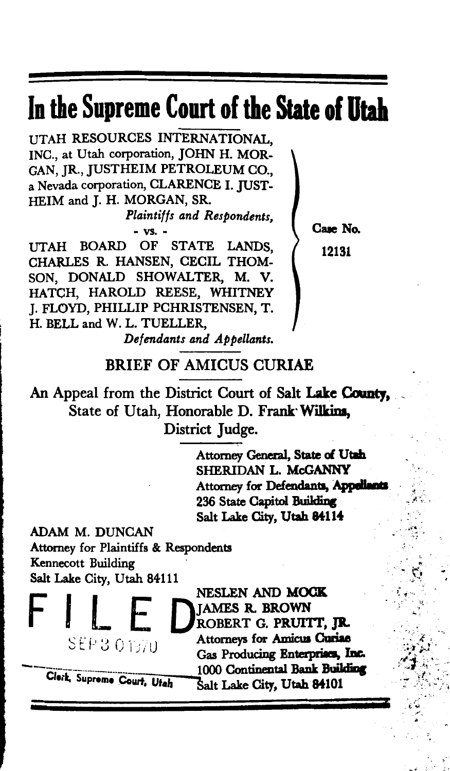# In **the Supreme Court of** the State **of Utah**

UTAH RESOURCES INTERNATIONAL, INC., at Utah corporation, JOHN H. MOR-GAN, JR., JUSTHEIM PETROLEUM CO., a Nevada corporation, CLARENCE I. JUST-HEIM and J. H. MORGAN, SR.

> *Plaintiffs and Respondents,*  - vs. -

UTAH BOARD OF STATE LANDS, CHARLES R. HANSEN, CECIL THOM-SON, DONALD SHOWALTER, M. V. HATCH, HAROLD REESE, WHITNEY J. FLOYD, PHILLIP PCHRISTENSEN, T. H. BELL and W. L. TUELLER, *Defendants and Appellants.*  Case No. 12131

#### BRIEF OF AMICUS CURIAE

An Appeal from the District Court of Salt Lake County. State of Utah, Honorable D. Frank· Wilkins, District Judge.

> Attorney General, State of Utah SHERIDAN L. McGANNY Attorney for Defendants, Appella 236 State Capitol Building Salt Lake City, Utah 84114

> > .<br>....<br>\* ...

 $-$ *• .. ·:'* - *if*  <u>بر</u><br>و "'  $\epsilon$  .  $\epsilon$ 

 $\cdot$  .

-,.#- *: \_:'* 

 $\ddot{\phi}$  ,  $\ddot{\phi}$ 

- "'1· ' .  $\mathbb{C}$  .

ADAM M. DUNCAN Attorney for Plaintiffs & Respondents Kennecott Building Salt Lake City, Utah 84111

> NESLEN AND MOCK<br> **COMPARES R. BROWN**<br>
> SEP 3 0 1970 Attorneys for Amicus Curiae Gas Producing Enterprises, Inc. 1000 Continental Bank Building<br>Salt Lake City, Utah 84101

Clerk, Supreme Court, Utah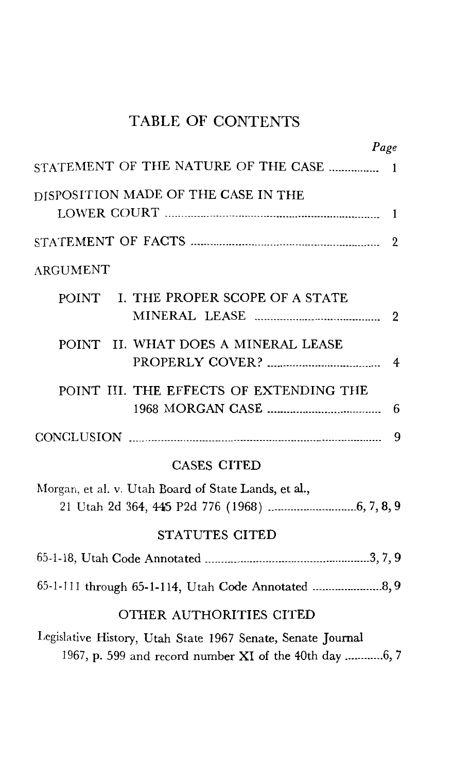## TABLE OF CONTENTS

|                                                                                                                       | Page |                |
|-----------------------------------------------------------------------------------------------------------------------|------|----------------|
| STATEMENT OF THE NATURE OF THE CASE                                                                                   |      | -1             |
| DISPOSITION MADE OF THE CASE IN THE                                                                                   |      |                |
|                                                                                                                       |      | 1              |
|                                                                                                                       |      | 2              |
| <b>ARGUMENT</b>                                                                                                       |      |                |
| I. THE PROPER SCOPE OF A STATE<br>POINT                                                                               |      | $\overline{2}$ |
| POINT II. WHAT DOES A MINERAL LEASE                                                                                   |      | 4              |
| POINT III. THE EFFECTS OF EXTENDING THE                                                                               |      | 6              |
|                                                                                                                       |      | 9              |
| <b>CASES CITED</b>                                                                                                    |      |                |
| Morgan, et al. v. Utah Board of State Lands, et al.,                                                                  |      |                |
| STATUTES CITED                                                                                                        |      |                |
|                                                                                                                       |      |                |
|                                                                                                                       |      |                |
| OTHER AUTHORITIES CITED                                                                                               |      |                |
| Legislative History, Utah State 1967 Senate, Senate Journal<br>1967, p. 599 and record number XI of the 40th day 6, 7 |      |                |
|                                                                                                                       |      |                |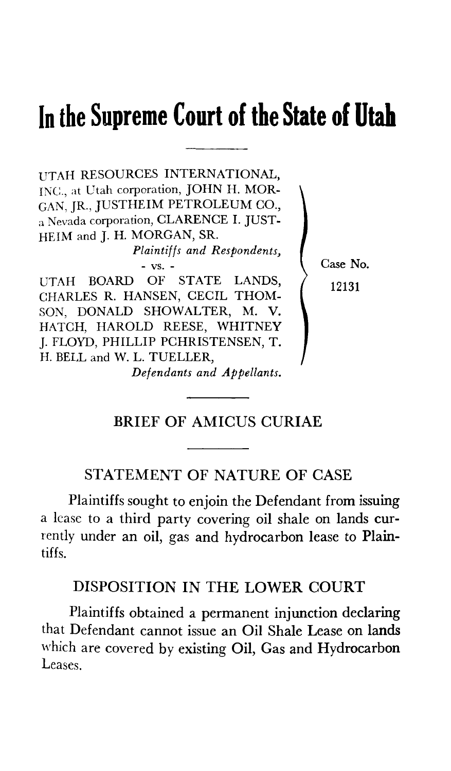# **In the Supreme Court of the State of Utah**

UTAH RESOURCES INTERNATIONAL, INC., at Utah corporation, JOHN H. MOR-GAN, JR., JUSTHEIM PETROLEUM CO., a Nevada corporation, CLARENCE I. JUST-HEIM and J. H. MORGAN, SR.

*Plaintiffs and Respondents,* 

- vs. - UTAH BOARD OF STATE LANDS, CHARLES R. HANSEN, CECIL THOM-SON, DONALD SHOWALTER, M. V. HATCH, HAROLD REESE, WHITNEY J. FLOYD, PHILLIP PCHRISTENSEN, T. H. BELL and W. L. TUELLER, *Defendants and Appellants.*  Case No. 12131

## BRIEF OF AMICUS CURIAE

#### STATEMENT OF NATURE OF CASE

Plaintiffs sought to en join the Defendant from issuing a lease to a third party covering oil shale on lands currently under an oil, gas and hydrocarbon lease to Plaintiffs.

#### DISPOSITION IN THE LOWER COURT

Plaintiffs obtained a permanent injunction declaring that Defendant cannot issue an Oil Shale Lease on lands which are covered by existing Oil, Gas and Hydrocarbon Leases.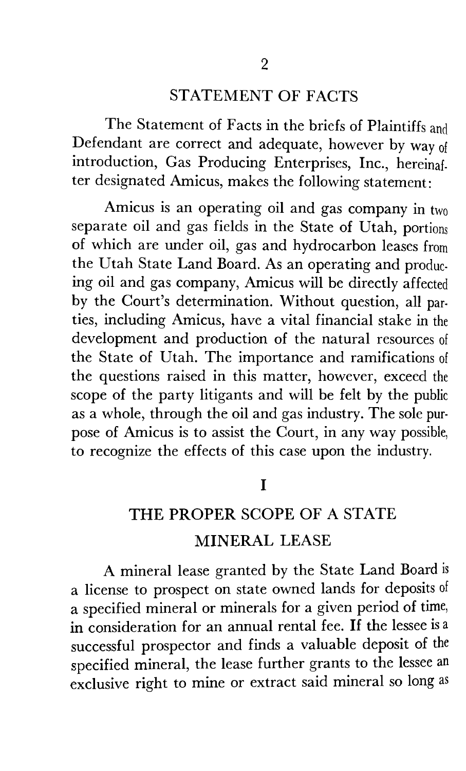### STATEMENT OF FACTS

The Statement of Facts in the briefs of Plaintiffs and Defendant are correct and adequate, however by way of introduction, Gas Producing Enterprises, Inc., hereinaf. ter designated Amicus, makes the following statement:

Amicus is an operating oil and gas company in two separate oil and gas fields in the State of Utah, portions of which are under oil, gas and hydrocarbon leases from the Utah State Land Board. As an operating and producing oil and gas company, Amicus will be directly affected by the Court's determination. Without question, all parties, including Amicus, have a vital financial stake in the development and production of the natural resources of the State of Utah. The importance and ramifications of the questions raised in this matter, however, exceed the scope of the party litigants and will be felt by the public as a whole, through the oil and gas industry. The sole purpose of Amicus is to assist the Court, in any way possible, to recognize the effects of this case upon the industry.

I

# THE PROPER SCOPE OF A STATE MINERAL LEASE

A mineral lease granted by the State Land Board is a license to prospect on state owned lands for deposits of a specified mineral or minerals for a given period of time, in consideration for an annual rental fee. If the lessee is a successful prospector and finds a valuable deposit of the specified mineral, the lease further grants to the lessee an exclusive right to mine or extract said mineral so long as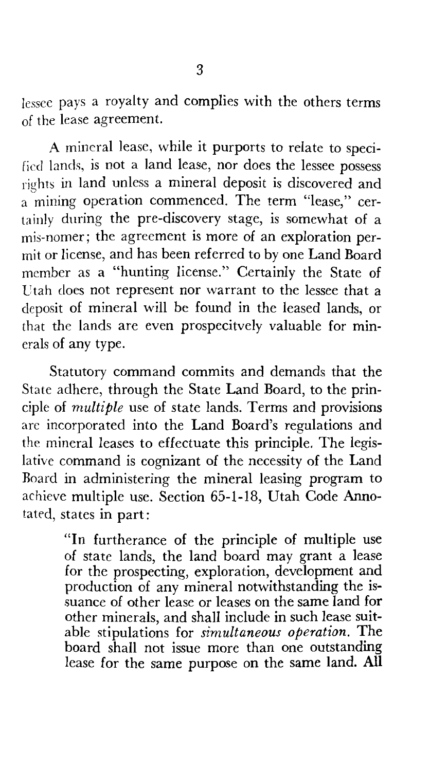lessee pays a royalty and complies with the others terms of the lease agreement.

A mineral lease, while it purports to relate to specified lands, is not a land lease, nor does the lessee possess rights in land unless a mineral deposit is discovered and a mining operation commenced. The term "lease," certainly during the pre-discovery stage, is somewhat of a mis-nomer; the agreement is more of an exploration permit or license, and has been referred to by one Land Board member as a "hunting license." Certainly the State of Utah does not represent nor warrant to the lessee that a deposit of mineral will be found in the leased lands, or that the lands are even prospecitvely valuable for minerals of any type.

Statutory command commits and demands that the State adhere, through the State Land Board, to the principle of *multiple* use of state lands. Terms and provisions arc incorporated into the Land Board's regulations and the mineral leases to effectuate this principle. The legislative command is cognizant of the necessity of the Land Roard in administering the mineral leasing program to achieve multiple use. Section 65-1-18, Utah Code Annotated, states in part:

> "In furtherance of the principle of multiple use of state lands, the land board may grant a lease for the prospecting, exploration, development and production of any mineral notwithstanding the issuance of other lease or leases on the same land for other minerals, and shall include in such lease suitable stipulations for *simultaneous operation.* The board shall not issue more than one outstanding lease for the same purpose on the same land. All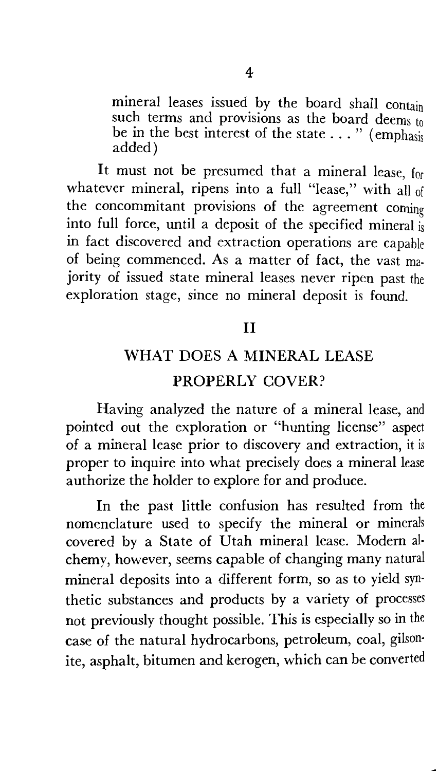mineral leases issued by the board shall contain such terms and provisions as the board deems to be in the best interest of the state  $\dots$  " (emphasis) added)

It must not be presumed that a mineral lease, for whatever mineral, ripens into a full "lease," with all of the concommitant provisions of the agreement coming into full force, until a deposit of the specified mineral is in fact discovered and extraction operations are capable of being commenced. As a matter of fact, the vast ma· jority of issued state mineral leases never ripen past the exploration stage, since no mineral deposit is found.

## II

# WHAT DOES A MINERAL LEASE PROPERLY COVER?

Having analyzed the nature of a mineral lease, and pointed out the exploration or "hunting license" aspect of a mineral lease prior to discovery and extraction, it is proper to inquire into what precisely does a mineral lease authorize the holder to explore for and produce.

In the past little confusion has resulted from the nomenclature used to specify the mineral or minerals covered by a State of Utah mineral lease. Modem al· chemy, however, seems capable of changing many natural mineral deposits into a different form, so as to yield syn· thetic substances and products by a variety of processes not previously thought possible. This is especially so in the case of the natural hydrocarbons, petroleum, coal, gilson· ite, asphalt, bitumen and kerogen, which can be converted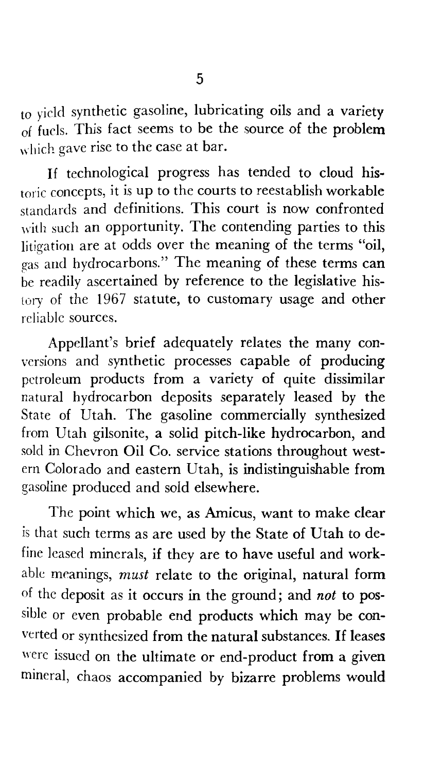to yield synthetic gasoline, lubricating oils and a variety  $\overline{\text{of}}$  fuels. This fact seems to be the source of the problem which gave rise to the case at bar.

If technological progress has tended to cloud historic concepts, it is up to the courts to reestablish workable standards and definitions. This court is now confronted with such an opportunity. The contending parties to this litigation are at odds over the meaning of the terms "oil, gas and hydrocarbons." The meaning of these terms can be readily ascertained by reference to the legislative history of the 1967 statute, to customary usage and other reliable sources.

Appellant's brief adequately relates the many conversions and synthetic processes capable of producing petroleum products from a variety of quite dissimilar natural hydrocarbon deposits separately leased by the State of Utah. The gasoline commercially synthesized from Utah gilsonite, a solid pitch-like hydrocarbon, and sold in Chevron Oil Co. service stations throughout western Colorado and eastern Utah, is indistinguishable from gasoline produced and sold elsewhere.

The point which we, as Amicus, want to make clear is that such terms as are used by the State of Utah to define leased minerals, if they are to have useful and workable meanings, *must* relate to the original, natural form of the deposit as it occurs in the ground; and *not* to possible or even probable end products which may be converted or synthesized from the natural substances. If leases were issued on the ultimate or end-product from a given mineral, chaos accompanied by bizarre problems would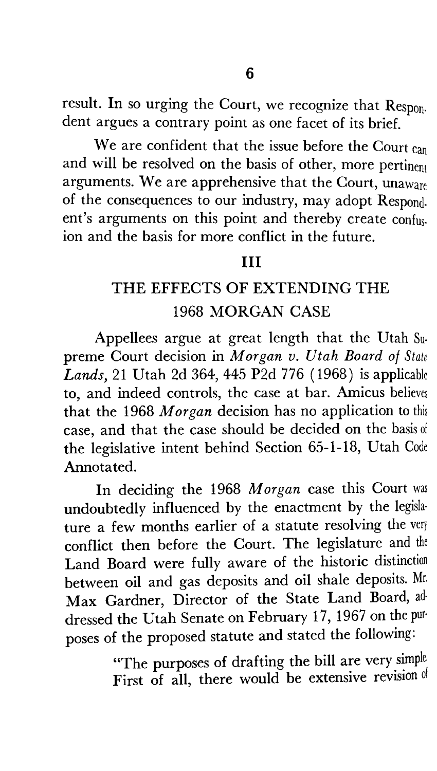result. In so urging the Court, we recognize that Respon. dent argues a contrary point as one facet of its brief.

We are confident that the issue before the Court can and will be resolved on the basis of other, more pertinent arguments. We are apprehensive that the Court, unaware of the consequences to our industry, may adopt Respond. ent's arguments on this point and thereby create confus. ion and the basis for more conflict in the future.

## III

# THE EFFECTS OF EXTENDING THE 1968 MORGAN CASE

Appellees argue at great length that the Utah Supreme Court decision in *Morgan v. Utah Board of State Lands,* 21 Utah 2d 364, 445 P2d 776 ( 1968) is applicable to, and indeed controls, the case at bar. Amicus believes that the 1968 *Morgan* decision has no application to this case, and that the case should be decided on the basis of the legislative intent behind Section 65-1-18, Utah Code Annotated.

In deciding the 1968 *Morgan* case this Court was undoubtedly influenced by the enactment by the legisla· ture a few months earlier of a statute resolving the very conflict then before the Court. The legislature and the Land Board were fully aware of the historic distinction between oil and gas deposits and oil shale deposits. Mr. Max Gardner, Director of the State Land Board, ad· dressed the Utah Senate on February 17, 1967 on the pur· poses of the proposed statute and stated the following:

> "The purposes of drafting the bill are very simple, First of all, there would be extensive revision of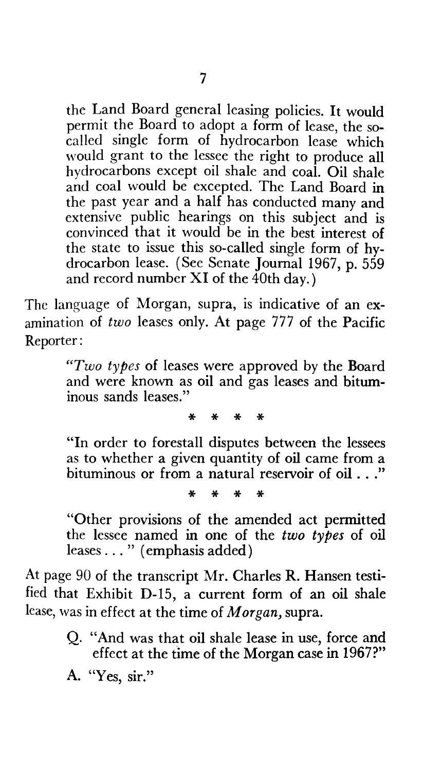the Land Board general leasing policies. It would permit the Board to adopt a form of lease, the socalled single form of hydrocarbon lease which would grant to the lessee the right to produce all hydrocarbons except oil shale and coal. Oil shale and coal would be excepted. The Land Board in the past year and a half has conducted many and extensive public hearings on this subject and is convinced that it would be in the best interest of the state to issue this so-called single form of hydrocarbon lease. (See Senate Journal 1967, p. 559 and record number  $XI$  of the 40th day.)

The language of Morgan, supra, is indicative of an examination of *two* leases only. At page 777 of the Pacific Reporter:

> *"Two types* of leases were approved by the Board and were known as oil and gas leases and bituminous sands leases."

> > \* \* \* \*

"In order to forestall disputes between the lessees as to whether a given quantity of oil came from a bituminous or from a natural reservoir of oil ..."

\* \* \* \*

"Other provisions of the amended act permitted the lessee named in one of the *two types* of oil leases ... " (emphasis added)

At page 90 of the transcript Mr. Charles R. Hansen testified that Exhibit D-15, a current form of an oil shale lease, was in effect at the time of *Morgan,* supra.

> Q. "And was that oil shale lease in use, force and effect at the time of the Morgan case in 1967?"

A. "Yes, sir."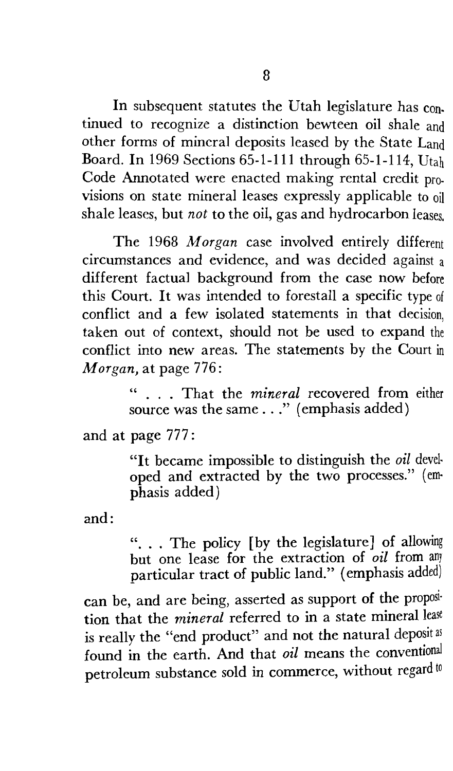In subsequent statutes the Utah legislature has con. tinued to recognize a distinction bewteen oil shale and other forms of mineral deposits leased by the State Land Board. In 1969 Sections 65-1-111 through 65-1-114, Utah Code Annotated were enacted making rental credit pro. visions on state mineral leases expressly applicable to oil shale leases, but *not* to the oil, gas and hydrocarbon leases.

The 1968 *Morgan* case involved entirely different circumstances and evidence, and was decided against a different factual background from the case now before this Court. It was intended to forestall a specific type of conflict and a few isolated statements in that decision, taken out of context, should not be used to expand the conflict into new areas. The statements by the Court in *Morgan,* at page 776:

> " ... That the *mineral* recovered from either source was the same . . ." (emphasis added)

and at page 777:

"It became impossible to distinguish the *oil* devel· oped and extracted by the two processes." (em· phasis added)

and:

". . . The policy [by the legislature] of allowing but one lease for the extraction of *oil* from any particular tract of public land." (emphasis added)

can be, and are being, asserted as support of the proposi· tion that the *mineral* referred to in a state mineral lease is really the "end product" and not the natural deposit as found in the earth. And that *oil* means the conventional petroleum substance sold in commerce, without regard to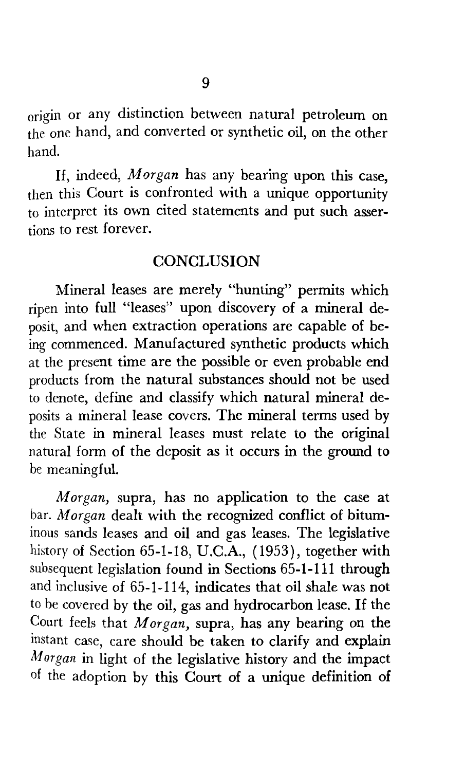origin or any distinction between natural petroleum on the one hand, and converted or synthetic oil, on the other hand.

If, indeed, *Morgan* has any bearing upon this case, then this Court is confronted with a unique opportunity to interpret its own cited statements and put such assertions to rest forever.

#### **CONCLUSION**

Mineral leases are merely "hunting" permits which ripen into full "leases" upon discovery of a mineral deposit, and when extraction operations are capable of being commenced. Manufactured synthetic products which at the present time are the possible or even probable end products from the natural substances should not be used to denote, define and classify which natural mineral deposits a mineral lease covers. The mineral terms used by the State in mineral leases must relate to the original natural form of the deposit as it occurs in the ground to be meaningful.

*Morgan,* supra, has no application to the case at bar. *Morgan* dealt with the recognized conflict of bituminous sands leases and oil and gas leases. The legislative history of Section 65-1-18, U.C.A., (1953), together with subsequent legislation found in Sections 65-1-111 through and inclusive of 65-1-114, indicates that oil shale was not to be covered by the oil, gas and hydrocarbon lease. If the Court feels that *Morgan,* supra, has any bearing on the instant case, care should be taken to clarify and explain *Af organ* in light of the legislative history and the impact of the adoption by this Court of a unique definition of